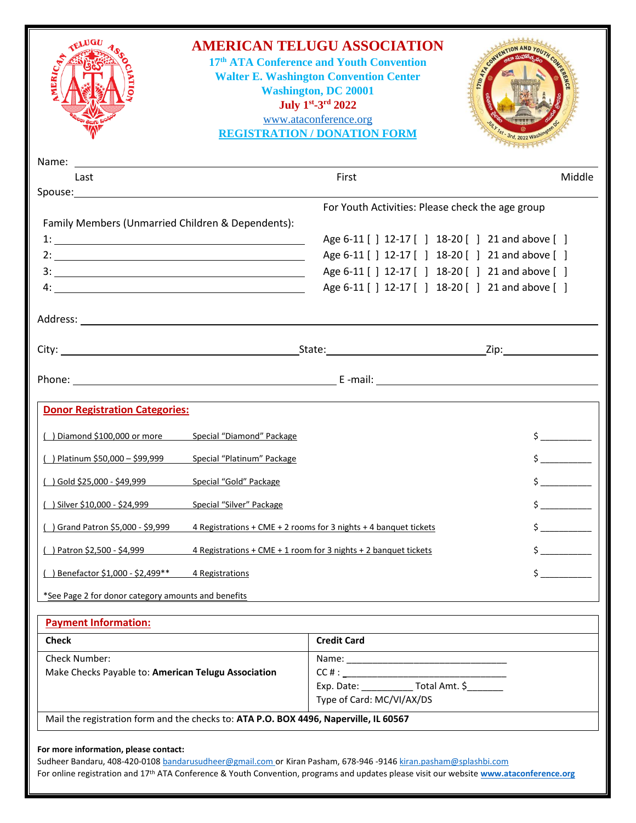| <u> 1989 - Andrea Andrew Maria (h. 1989).</u><br>First<br>Last<br>For Youth Activities: Please check the age group<br>Family Members (Unmarried Children & Dependents):<br>Age 6-11 [] 12-17 [] 18-20 [] 21 and above []<br>Age 6-11 [] 12-17 [] 18-20 [] 21 and above []<br>Age 6-11 [] 12-17 [] 18-20 [] 21 and above []<br>Age 6-11 [] 12-17 [] 18-20 [] 21 and above []<br><b>Donor Registration Categories:</b><br>Special "Diamond" Package<br>$\frac{1}{2}$<br>) Diamond \$100,000 or more<br>$\frac{1}{2}$<br>() Platinum \$50,000 - \$99,999<br>Special "Platinum" Package<br>$\frac{1}{2}$<br>Special "Gold" Package<br>( ) Gold \$25,000 - \$49,999<br>Silver \$10,000 - \$24,999<br>Special "Silver" Package<br>$\frac{1}{2}$<br>) Grand Patron \$5,000 - \$9,999<br>4 Registrations + CME + 2 rooms for 3 nights + 4 banquet tickets<br>$\frac{1}{2}$<br>() Patron \$2,500 - \$4,999<br>4 Registrations + CME + 1 room for 3 nights + 2 banquet tickets<br>$\frac{1}{2}$<br>) Benefactor \$1,000 - \$2,499 **<br>4 Registrations<br>*See Page 2 for donor category amounts and benefits<br><b>Payment Information:</b><br><b>Credit Card</b><br><b>Check</b><br><b>Check Number:</b><br>Make Checks Payable to: American Telugu Association<br>Type of Card: MC/VI/AX/DS<br>Mail the registration form and the checks to: ATA P.O. BOX 4496, Naperville, IL 60567 | ERICA                                 | <b>AMERICAN TELUGU ASSOCIATION</b><br>17th ATA Conference and Youth Convention<br><b>Walter E. Washington Convention Center</b><br><b>Washington, DC 20001</b><br>July 1st-3rd 2022<br>www.ataconference.org<br><b>REGISTRATION / DONATION FORM</b> |        |
|--------------------------------------------------------------------------------------------------------------------------------------------------------------------------------------------------------------------------------------------------------------------------------------------------------------------------------------------------------------------------------------------------------------------------------------------------------------------------------------------------------------------------------------------------------------------------------------------------------------------------------------------------------------------------------------------------------------------------------------------------------------------------------------------------------------------------------------------------------------------------------------------------------------------------------------------------------------------------------------------------------------------------------------------------------------------------------------------------------------------------------------------------------------------------------------------------------------------------------------------------------------------------------------------------------------------------------------------------------------------------------|---------------------------------------|-----------------------------------------------------------------------------------------------------------------------------------------------------------------------------------------------------------------------------------------------------|--------|
|                                                                                                                                                                                                                                                                                                                                                                                                                                                                                                                                                                                                                                                                                                                                                                                                                                                                                                                                                                                                                                                                                                                                                                                                                                                                                                                                                                                | Name:                                 |                                                                                                                                                                                                                                                     |        |
|                                                                                                                                                                                                                                                                                                                                                                                                                                                                                                                                                                                                                                                                                                                                                                                                                                                                                                                                                                                                                                                                                                                                                                                                                                                                                                                                                                                |                                       |                                                                                                                                                                                                                                                     | Middle |
|                                                                                                                                                                                                                                                                                                                                                                                                                                                                                                                                                                                                                                                                                                                                                                                                                                                                                                                                                                                                                                                                                                                                                                                                                                                                                                                                                                                |                                       |                                                                                                                                                                                                                                                     |        |
|                                                                                                                                                                                                                                                                                                                                                                                                                                                                                                                                                                                                                                                                                                                                                                                                                                                                                                                                                                                                                                                                                                                                                                                                                                                                                                                                                                                |                                       |                                                                                                                                                                                                                                                     |        |
|                                                                                                                                                                                                                                                                                                                                                                                                                                                                                                                                                                                                                                                                                                                                                                                                                                                                                                                                                                                                                                                                                                                                                                                                                                                                                                                                                                                |                                       |                                                                                                                                                                                                                                                     |        |
|                                                                                                                                                                                                                                                                                                                                                                                                                                                                                                                                                                                                                                                                                                                                                                                                                                                                                                                                                                                                                                                                                                                                                                                                                                                                                                                                                                                |                                       |                                                                                                                                                                                                                                                     |        |
|                                                                                                                                                                                                                                                                                                                                                                                                                                                                                                                                                                                                                                                                                                                                                                                                                                                                                                                                                                                                                                                                                                                                                                                                                                                                                                                                                                                |                                       |                                                                                                                                                                                                                                                     |        |
|                                                                                                                                                                                                                                                                                                                                                                                                                                                                                                                                                                                                                                                                                                                                                                                                                                                                                                                                                                                                                                                                                                                                                                                                                                                                                                                                                                                |                                       |                                                                                                                                                                                                                                                     |        |
|                                                                                                                                                                                                                                                                                                                                                                                                                                                                                                                                                                                                                                                                                                                                                                                                                                                                                                                                                                                                                                                                                                                                                                                                                                                                                                                                                                                |                                       |                                                                                                                                                                                                                                                     |        |
|                                                                                                                                                                                                                                                                                                                                                                                                                                                                                                                                                                                                                                                                                                                                                                                                                                                                                                                                                                                                                                                                                                                                                                                                                                                                                                                                                                                |                                       |                                                                                                                                                                                                                                                     |        |
|                                                                                                                                                                                                                                                                                                                                                                                                                                                                                                                                                                                                                                                                                                                                                                                                                                                                                                                                                                                                                                                                                                                                                                                                                                                                                                                                                                                |                                       |                                                                                                                                                                                                                                                     |        |
|                                                                                                                                                                                                                                                                                                                                                                                                                                                                                                                                                                                                                                                                                                                                                                                                                                                                                                                                                                                                                                                                                                                                                                                                                                                                                                                                                                                |                                       |                                                                                                                                                                                                                                                     |        |
|                                                                                                                                                                                                                                                                                                                                                                                                                                                                                                                                                                                                                                                                                                                                                                                                                                                                                                                                                                                                                                                                                                                                                                                                                                                                                                                                                                                |                                       |                                                                                                                                                                                                                                                     |        |
|                                                                                                                                                                                                                                                                                                                                                                                                                                                                                                                                                                                                                                                                                                                                                                                                                                                                                                                                                                                                                                                                                                                                                                                                                                                                                                                                                                                |                                       |                                                                                                                                                                                                                                                     |        |
|                                                                                                                                                                                                                                                                                                                                                                                                                                                                                                                                                                                                                                                                                                                                                                                                                                                                                                                                                                                                                                                                                                                                                                                                                                                                                                                                                                                |                                       |                                                                                                                                                                                                                                                     |        |
|                                                                                                                                                                                                                                                                                                                                                                                                                                                                                                                                                                                                                                                                                                                                                                                                                                                                                                                                                                                                                                                                                                                                                                                                                                                                                                                                                                                |                                       |                                                                                                                                                                                                                                                     |        |
|                                                                                                                                                                                                                                                                                                                                                                                                                                                                                                                                                                                                                                                                                                                                                                                                                                                                                                                                                                                                                                                                                                                                                                                                                                                                                                                                                                                |                                       |                                                                                                                                                                                                                                                     |        |
|                                                                                                                                                                                                                                                                                                                                                                                                                                                                                                                                                                                                                                                                                                                                                                                                                                                                                                                                                                                                                                                                                                                                                                                                                                                                                                                                                                                |                                       |                                                                                                                                                                                                                                                     |        |
|                                                                                                                                                                                                                                                                                                                                                                                                                                                                                                                                                                                                                                                                                                                                                                                                                                                                                                                                                                                                                                                                                                                                                                                                                                                                                                                                                                                |                                       |                                                                                                                                                                                                                                                     |        |
|                                                                                                                                                                                                                                                                                                                                                                                                                                                                                                                                                                                                                                                                                                                                                                                                                                                                                                                                                                                                                                                                                                                                                                                                                                                                                                                                                                                |                                       |                                                                                                                                                                                                                                                     |        |
|                                                                                                                                                                                                                                                                                                                                                                                                                                                                                                                                                                                                                                                                                                                                                                                                                                                                                                                                                                                                                                                                                                                                                                                                                                                                                                                                                                                |                                       |                                                                                                                                                                                                                                                     |        |
|                                                                                                                                                                                                                                                                                                                                                                                                                                                                                                                                                                                                                                                                                                                                                                                                                                                                                                                                                                                                                                                                                                                                                                                                                                                                                                                                                                                |                                       |                                                                                                                                                                                                                                                     |        |
|                                                                                                                                                                                                                                                                                                                                                                                                                                                                                                                                                                                                                                                                                                                                                                                                                                                                                                                                                                                                                                                                                                                                                                                                                                                                                                                                                                                |                                       |                                                                                                                                                                                                                                                     |        |
|                                                                                                                                                                                                                                                                                                                                                                                                                                                                                                                                                                                                                                                                                                                                                                                                                                                                                                                                                                                                                                                                                                                                                                                                                                                                                                                                                                                |                                       |                                                                                                                                                                                                                                                     |        |
|                                                                                                                                                                                                                                                                                                                                                                                                                                                                                                                                                                                                                                                                                                                                                                                                                                                                                                                                                                                                                                                                                                                                                                                                                                                                                                                                                                                |                                       |                                                                                                                                                                                                                                                     |        |
|                                                                                                                                                                                                                                                                                                                                                                                                                                                                                                                                                                                                                                                                                                                                                                                                                                                                                                                                                                                                                                                                                                                                                                                                                                                                                                                                                                                |                                       |                                                                                                                                                                                                                                                     |        |
|                                                                                                                                                                                                                                                                                                                                                                                                                                                                                                                                                                                                                                                                                                                                                                                                                                                                                                                                                                                                                                                                                                                                                                                                                                                                                                                                                                                |                                       |                                                                                                                                                                                                                                                     |        |
|                                                                                                                                                                                                                                                                                                                                                                                                                                                                                                                                                                                                                                                                                                                                                                                                                                                                                                                                                                                                                                                                                                                                                                                                                                                                                                                                                                                |                                       |                                                                                                                                                                                                                                                     |        |
| Sudheer Bandaru, 408-420-0108 bandarusudheer@gmail.com or Kiran Pasham, 678-946 -9146 kiran.pasham@splashbi.com                                                                                                                                                                                                                                                                                                                                                                                                                                                                                                                                                                                                                                                                                                                                                                                                                                                                                                                                                                                                                                                                                                                                                                                                                                                                | For more information, please contact: |                                                                                                                                                                                                                                                     |        |